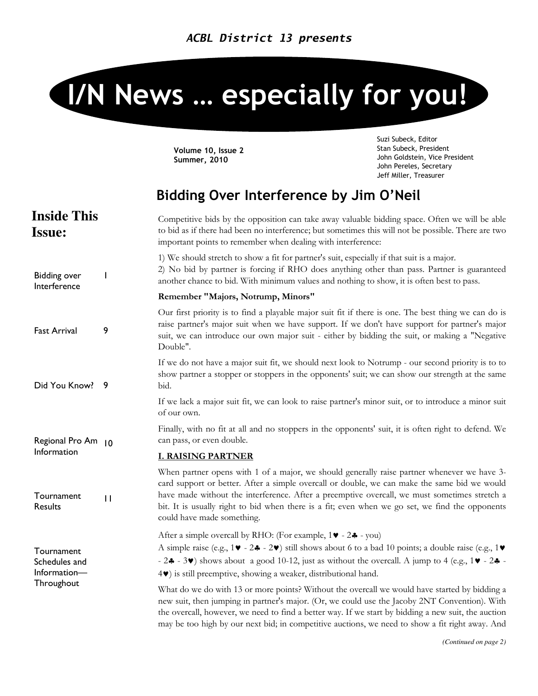# I/N News … especially for you!

Volume 10, Issue 2 Summer, 2010

Suzi Subeck, Editor Stan Subeck, President John Goldstein, Vice President John Pereles, Secretary Jeff Miller, Treasurer

# Bidding Over Interference by Jim O'Neil

| <b>Inside This</b><br><b>Issue:</b>                       |              | Competitive bids by the opposition can take away valuable bidding space. Often we will be able<br>to bid as if there had been no interference; but sometimes this will not be possible. There are two<br>important points to remember when dealing with interference:                                                                                                                                                        |
|-----------------------------------------------------------|--------------|------------------------------------------------------------------------------------------------------------------------------------------------------------------------------------------------------------------------------------------------------------------------------------------------------------------------------------------------------------------------------------------------------------------------------|
| <b>Bidding over</b><br>Interference                       | ı            | 1) We should stretch to show a fit for partner's suit, especially if that suit is a major.<br>2) No bid by partner is forcing if RHO does anything other than pass. Partner is guaranteed<br>another chance to bid. With minimum values and nothing to show, it is often best to pass.                                                                                                                                       |
|                                                           |              | Remember "Majors, Notrump, Minors"                                                                                                                                                                                                                                                                                                                                                                                           |
| <b>Fast Arrival</b>                                       | 9            | Our first priority is to find a playable major suit fit if there is one. The best thing we can do is<br>raise partner's major suit when we have support. If we don't have support for partner's major<br>suit, we can introduce our own major suit - either by bidding the suit, or making a "Negative<br>Double".                                                                                                           |
| Did You Know?                                             | - 9          | If we do not have a major suit fit, we should next look to Notrump - our second priority is to to<br>show partner a stopper or stoppers in the opponents' suit; we can show our strength at the same<br>bid.                                                                                                                                                                                                                 |
|                                                           |              | If we lack a major suit fit, we can look to raise partner's minor suit, or to introduce a minor suit<br>of our own.                                                                                                                                                                                                                                                                                                          |
| Regional Pro Am 10<br>Information                         |              | Finally, with no fit at all and no stoppers in the opponents' suit, it is often right to defend. We<br>can pass, or even double.                                                                                                                                                                                                                                                                                             |
|                                                           |              | <b>I. RAISING PARTNER</b>                                                                                                                                                                                                                                                                                                                                                                                                    |
| Tournament<br>Results                                     | $\mathbf{H}$ | When partner opens with 1 of a major, we should generally raise partner whenever we have 3-<br>card support or better. After a simple overcall or double, we can make the same bid we would<br>have made without the interference. After a preemptive overcall, we must sometimes stretch a<br>bit. It is usually right to bid when there is a fit; even when we go set, we find the opponents<br>could have made something. |
| Tournament<br>Schedules and<br>Information-<br>Throughout |              | After a simple overcall by RHO: (For example, $1\blacktriangledown - 2\clubsuit - \text{you}$ )                                                                                                                                                                                                                                                                                                                              |
|                                                           |              | A simple raise (e.g., $1\blacktriangledown - 2\clubsuit - 2\blacktriangledown$ ) still shows about 6 to a bad 10 points; a double raise (e.g., $1\blacktriangledown$<br>- $2\clubsuit$ - 3 $\blacktriangledown$ ) shows about a good 10-12, just as without the overcall. A jump to 4 (e.g., 1 $\blacktriangledown$ - 2 $\clubsuit$ -<br>4 <sup>*</sup> ) is still preemptive, showing a weaker, distributional hand.        |
|                                                           |              | What do we do with 13 or more points? Without the overcall we would have started by bidding a<br>new suit, then jumping in partner's major. (Or, we could use the Jacoby 2NT Convention). With<br>the overcall, however, we need to find a better way. If we start by bidding a new suit, the auction<br>may be too high by our next bid; in competitive auctions, we need to show a fit right away. And                     |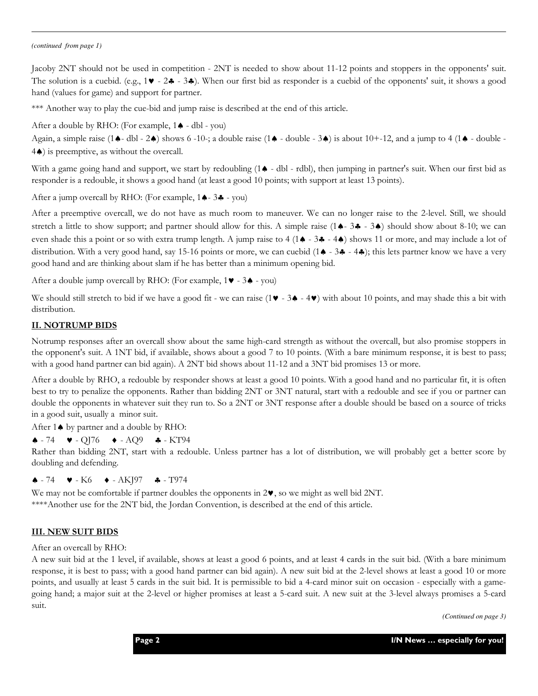#### *(continued from page 1)*

Jacoby 2NT should not be used in competition - 2NT is needed to show about 11-12 points and stoppers in the opponents' suit. The solution is a cuebid. (e.g.,  $1 \vee -2 \clubsuit -3 \clubsuit$ ). When our first bid as responder is a cuebid of the opponents' suit, it shows a good hand (values for game) and support for partner.

\*\*\* Another way to play the cue-bid and jump raise is described at the end of this article.

After a double by RHO: (For example, 1♠ - dbl - you)

Again, a simple raise  $(1\spadesuit - \text{dbl} - 2\spadesuit)$  shows 6 -10-; a double raise  $(1\spadesuit - \text{double} - 3\spadesuit)$  is about 10+-12, and a jump to 4  $(1\spadesuit - \text{double} - 3\spadesuit)$ 4♠) is preemptive, as without the overcall.

With a game going hand and support, we start by redoubling (1♠ - dbl - rdbl), then jumping in partner's suit. When our first bid as responder is a redouble, it shows a good hand (at least a good 10 points; with support at least 13 points).

After a jump overcall by RHO: (For example, 1♠- 3♣ - you)

After a preemptive overcall, we do not have as much room to maneuver. We can no longer raise to the 2-level. Still, we should stretch a little to show support; and partner should allow for this. A simple raise  $(1 \triangle - 3 \triangle - 3 \triangle 4)$  should show about 8-10; we can even shade this a point or so with extra trump length. A jump raise to 4 (1♠ - 3♣ - 4♠) shows 11 or more, and may include a lot of distribution. With a very good hand, say 15-16 points or more, we can cuebid (1♠ - 3♣ - 4♣); this lets partner know we have a very good hand and are thinking about slam if he has better than a minimum opening bid.

After a double jump overcall by RHO: (For example, 1♥ - 3♠ - you)

We should still stretch to bid if we have a good fit - we can raise (1♥ - 3♠ - 4♥) with about 10 points, and may shade this a bit with distribution.

#### II. NOTRUMP BIDS

Notrump responses after an overcall show about the same high-card strength as without the overcall, but also promise stoppers in the opponent's suit. A 1NT bid, if available, shows about a good 7 to 10 points. (With a bare minimum response, it is best to pass; with a good hand partner can bid again). A 2NT bid shows about 11-12 and a 3NT bid promises 13 or more.

After a double by RHO, a redouble by responder shows at least a good 10 points. With a good hand and no particular fit, it is often best to try to penalize the opponents. Rather than bidding 2NT or 3NT natural, start with a redouble and see if you or partner can double the opponents in whatever suit they run to. So a 2NT or 3NT response after a double should be based on a source of tricks in a good suit, usually a minor suit.

After 1♠ by partner and a double by RHO:

 $\triangle$  - 74  $\triangleright$  - QJ76  $\triangle$  - AQ9  $\triangle$  - KT94

Rather than bidding 2NT, start with a redouble. Unless partner has a lot of distribution, we will probably get a better score by doubling and defending.

#### $\triangle$  - 74  $\triangleright$  - K6  $\rightarrow$  - AKJ97  $\clubsuit$  - T974

We may not be comfortable if partner doubles the opponents in 2♥, so we might as well bid 2NT. \*\*\*\*Another use for the 2NT bid, the Jordan Convention, is described at the end of this article.

#### III. NEW SUIT BIDS

After an overcall by RHO:

A new suit bid at the 1 level, if available, shows at least a good 6 points, and at least 4 cards in the suit bid. (With a bare minimum response, it is best to pass; with a good hand partner can bid again). A new suit bid at the 2-level shows at least a good 10 or more points, and usually at least 5 cards in the suit bid. It is permissible to bid a 4-card minor suit on occasion - especially with a gamegoing hand; a major suit at the 2-level or higher promises at least a 5-card suit. A new suit at the 3-level always promises a 5-card suit.

*(Continued on page 3)*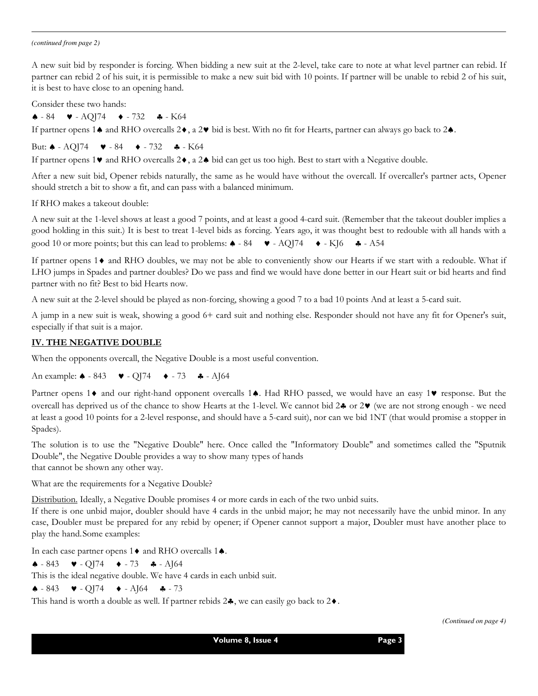#### *(continued from page 2)*

A new suit bid by responder is forcing. When bidding a new suit at the 2-level, take care to note at what level partner can rebid. If partner can rebid 2 of his suit, it is permissible to make a new suit bid with 10 points. If partner will be unable to rebid 2 of his suit, it is best to have close to an opening hand.

Consider these two hands:

 $\triangle$  - 84  $\triangleright$  - AQJ74  $\triangleright$  - 732  $\triangle$  - K64

If partner opens 1♠ and RHO overcalls 2♦, a 2♥ bid is best. With no fit for Hearts, partner can always go back to 2♠.

But:  $\triangle$  - AOI74  $\triangleright$  - 84  $\triangleright$  - 732  $\triangle$  - K64

If partner opens 1♥ and RHO overcalls 2♦, a 2♠ bid can get us too high. Best to start with a Negative double.

After a new suit bid, Opener rebids naturally, the same as he would have without the overcall. If overcaller's partner acts, Opener should stretch a bit to show a fit, and can pass with a balanced minimum.

If RHO makes a takeout double:

A new suit at the 1-level shows at least a good 7 points, and at least a good 4-card suit. (Remember that the takeout doubler implies a good holding in this suit.) It is best to treat 1-level bids as forcing. Years ago, it was thought best to redouble with all hands with a good 10 or more points; but this can lead to problems:  $\triangle$  - 84  $\blacktriangleright$  - AQJ74  $\blacktriangleright$  - KJ6  $\clubsuit$  - A54

If partner opens 1♦ and RHO doubles, we may not be able to conveniently show our Hearts if we start with a redouble. What if LHO jumps in Spades and partner doubles? Do we pass and find we would have done better in our Heart suit or bid hearts and find partner with no fit? Best to bid Hearts now.

A new suit at the 2-level should be played as non-forcing, showing a good 7 to a bad 10 points And at least a 5-card suit.

A jump in a new suit is weak, showing a good 6+ card suit and nothing else. Responder should not have any fit for Opener's suit, especially if that suit is a major.

#### IV. THE NEGATIVE DOUBLE

When the opponents overcall, the Negative Double is a most useful convention.

An example: ♠ - 843 ♥ - QJ74 ♦ - 73 ♣ - AJ64

Partner opens 1♦ and our right-hand opponent overcalls 1♠. Had RHO passed, we would have an easy 1♥ response. But the overcall has deprived us of the chance to show Hearts at the 1-level. We cannot bid 2♣ or 2♥ (we are not strong enough - we need at least a good 10 points for a 2-level response, and should have a 5-card suit), nor can we bid 1NT (that would promise a stopper in Spades).

The solution is to use the "Negative Double" here. Once called the "Informatory Double" and sometimes called the "Sputnik Double", the Negative Double provides a way to show many types of hands

that cannot be shown any other way.

What are the requirements for a Negative Double?

Distribution. Ideally, a Negative Double promises 4 or more cards in each of the two unbid suits.

If there is one unbid major, doubler should have 4 cards in the unbid major; he may not necessarily have the unbid minor. In any case, Doubler must be prepared for any rebid by opener; if Opener cannot support a major, Doubler must have another place to play the hand.Some examples:

In each case partner opens 1♦ and RHO overcalls 1♠.

♠ - 843 ♥ - QJ74 ♦ - 73 ♣ - AJ64

This is the ideal negative double. We have 4 cards in each unbid suit.

 $\triangle$  - 843  $\triangleright$  - QJ74  $\triangleright$  - AJ64  $\triangle$  - 73

This hand is worth a double as well. If partner rebids  $2\clubsuit$ , we can easily go back to  $2\spadesuit$ .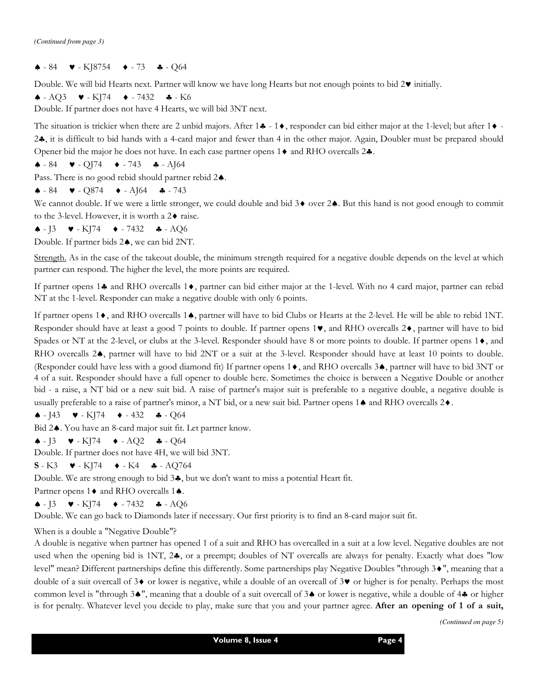♠ - 84 ♥ - KJ8754 ♦ - 73 ♣ - Q64

Double. We will bid Hearts next. Partner will know we have long Hearts but not enough points to bid 2♥ initially.

♠ - AQ3 ♥ - KJ74 ♦ - 7432 ♣ - K6

Double. If partner does not have 4 Hearts, we will bid 3NT next.

The situation is trickier when there are 2 unbid majors. After  $1\clubsuit - 1\spadesuit$ , responder can bid either major at the 1-level; but after  $1\spadesuit$ . 2♣, it is difficult to bid hands with a 4-card major and fewer than 4 in the other major. Again, Doubler must be prepared should Opener bid the major he does not have. In each case partner opens  $1 \blacklozenge$  and RHO overcalls  $2 \blacklozenge$ .

♠ - 84 ♥ - QJ74 ♦ - 743 ♣ - AJ64

Pass. There is no good rebid should partner rebid 2♠.

♠ - 84 ♥ - Q874 ♦ - AJ64 ♣ - 743

We cannot double. If we were a little stronger, we could double and bid 3♦ over 2♠. But this hand is not good enough to commit to the 3-level. However, it is worth a 2♦ raise.

 $\triangle$  -  $\sqrt{3}$   $\triangleright$  - K $\sqrt{74}$   $\rightarrow$  -7432  $\clubsuit$  - AQ6

Double. If partner bids 2♠, we can bid 2NT.

Strength. As in the case of the takeout double, the minimum strength required for a negative double depends on the level at which partner can respond. The higher the level, the more points are required.

If partner opens 1♣ and RHO overcalls 1♦, partner can bid either major at the 1-level. With no 4 card major, partner can rebid NT at the 1-level. Responder can make a negative double with only 6 points.

If partner opens 1♦, and RHO overcalls 1♠, partner will have to bid Clubs or Hearts at the 2-level. He will be able to rebid 1NT. Responder should have at least a good 7 points to double. If partner opens 1♥, and RHO overcalls 2♦, partner will have to bid Spades or NT at the 2-level, or clubs at the 3-level. Responder should have 8 or more points to double. If partner opens 1♦, and RHO overcalls 2♠, partner will have to bid 2NT or a suit at the 3-level. Responder should have at least 10 points to double. (Responder could have less with a good diamond fit) If partner opens 1♦, and RHO overcalls 3♠, partner will have to bid 3NT or 4 of a suit. Responder should have a full opener to double here. Sometimes the choice is between a Negative Double or another bid - a raise, a NT bid or a new suit bid. A raise of partner's major suit is preferable to a negative double, a negative double is usually preferable to a raise of partner's minor, a NT bid, or a new suit bid. Partner opens 1♠ and RHO overcalls 2♦.

♠ - J43 ♥ - KJ74 ♦ - 432 ♣ - Q64

Bid 2♠. You have an 8-card major suit fit. Let partner know.

♠ - J3 ♥ - KJ74 ♦ - AQ2 ♣ - Q64

Double. If partner does not have 4H, we will bid 3NT.

 $S - K3$   $\bullet - K174$   $\bullet - K4$   $\bullet - A0764$ 

Double. We are strong enough to bid 3♣, but we don't want to miss a potential Heart fit.

Partner opens 1♦ and RHO overcalls 1♠.

♠ - J3 ♥ - KJ74 ♦ - 7432 ♣ - AQ6

Double. We can go back to Diamonds later if necessary. Our first priority is to find an 8-card major suit fit.

When is a double a "Negative Double"?

A double is negative when partner has opened 1 of a suit and RHO has overcalled in a suit at a low level. Negative doubles are not used when the opening bid is 1NT, 2 $\clubsuit$ , or a preempt; doubles of NT overcalls are always for penalty. Exactly what does "low level" mean? Different partnerships define this differently. Some partnerships play Negative Doubles "through 3♦", meaning that a double of a suit overcall of 3♦ or lower is negative, while a double of an overcall of 3♥ or higher is for penalty. Perhaps the most common level is "through 3♠", meaning that a double of a suit overcall of 3♠ or lower is negative, while a double of 4♣ or higher is for penalty. Whatever level you decide to play, make sure that you and your partner agree. After an opening of 1 of a suit,

*(Continued on page 5)*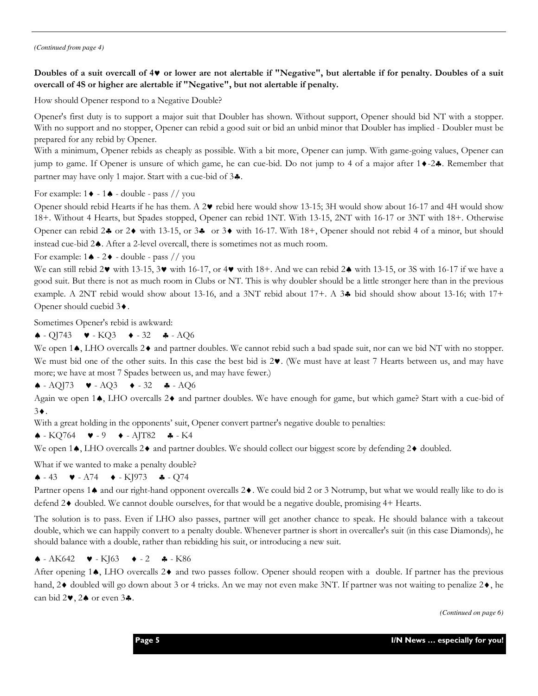*(Continued from page 4)* 

## Doubles of a suit overcall of 4♥ or lower are not alertable if "Negative", but alertable if for penalty. Doubles of a suit overcall of 4S or higher are alertable if "Negative", but not alertable if penalty.

How should Opener respond to a Negative Double?

Opener's first duty is to support a major suit that Doubler has shown. Without support, Opener should bid NT with a stopper. With no support and no stopper, Opener can rebid a good suit or bid an unbid minor that Doubler has implied - Doubler must be prepared for any rebid by Opener.

With a minimum, Opener rebids as cheaply as possible. With a bit more, Opener can jump. With game-going values, Opener can jump to game. If Opener is unsure of which game, he can cue-bid. Do not jump to 4 of a major after 1♦-2♣. Remember that partner may have only 1 major. Start with a cue-bid of 3♣.

For example:  $1 \blacklozenge - 1 \blacklozenge$  - double - pass // you

Opener should rebid Hearts if he has them. A 2♥ rebid here would show 13-15; 3H would show about 16-17 and 4H would show 18+. Without 4 Hearts, but Spades stopped, Opener can rebid 1NT. With 13-15, 2NT with 16-17 or 3NT with 18+. Otherwise Opener can rebid 2♣ or 2♦ with 13-15, or 3♣ or 3♦ with 16-17. With 18+, Opener should not rebid 4 of a minor, but should instead cue-bid 2♠. After a 2-level overcall, there is sometimes not as much room.

For example:  $1 \triangleq -2 \triangleleft - \text{double} - \text{pass}$  // you

We can still rebid 2♥ with 13-15, 3♥ with 16-17, or 4♥ with 18+. And we can rebid 2♠ with 13-15, or 3S with 16-17 if we have a good suit. But there is not as much room in Clubs or NT. This is why doubler should be a little stronger here than in the previous example. A 2NT rebid would show about 13-16, and a 3NT rebid about 17+. A 3♣ bid should show about 13-16; with 17+ Opener should cuebid 3♦.

Sometimes Opener's rebid is awkward:

♠ - QJ743 ♥ - KQ3 ♦ - 32 ♣ - AQ6

We open 1♠, LHO overcalls 2♦ and partner doubles. We cannot rebid such a bad spade suit, nor can we bid NT with no stopper. We must bid one of the other suits. In this case the best bid is 2♥. (We must have at least 7 Hearts between us, and may have more; we have at most 7 Spades between us, and may have fewer.)

♠ - AQJ73 ♥ - AQ3 ♦ - 32 ♣ - AQ6

Again we open 1♠, LHO overcalls 2♦ and partner doubles. We have enough for game, but which game? Start with a cue-bid of 3♦.

With a great holding in the opponents' suit, Opener convert partner's negative double to penalties:

♠ - KQ764 ♥ - 9 ♦ - AJT82 ♣ - K4

We open 1♠, LHO overcalls 2♦ and partner doubles. We should collect our biggest score by defending 2♦ doubled.

What if we wanted to make a penalty double?

♠ - 43 ♥ - A74 ♦ - KJ973 ♣ - Q74

Partner opens 1♠ and our right-hand opponent overcalls 2♦. We could bid 2 or 3 Notrump, but what we would really like to do is defend 2♦ doubled. We cannot double ourselves, for that would be a negative double, promising 4+ Hearts.

The solution is to pass. Even if LHO also passes, partner will get another chance to speak. He should balance with a takeout double, which we can happily convert to a penalty double. Whenever partner is short in overcaller's suit (in this case Diamonds), he should balance with a double, rather than rebidding his suit, or introducing a new suit.

#### ♠ - AK642 ♥ - KJ63 ♦ - 2 ♣ - K86

After opening 1♠, LHO overcalls 2♦ and two passes follow. Opener should reopen with a double. If partner has the previous hand, 2♦ doubled will go down about 3 or 4 tricks. An we may not even make 3NT. If partner was not waiting to penalize 2♦, he can bid 2♥, 2♠ or even 3♣.

*(Continued on page 6)*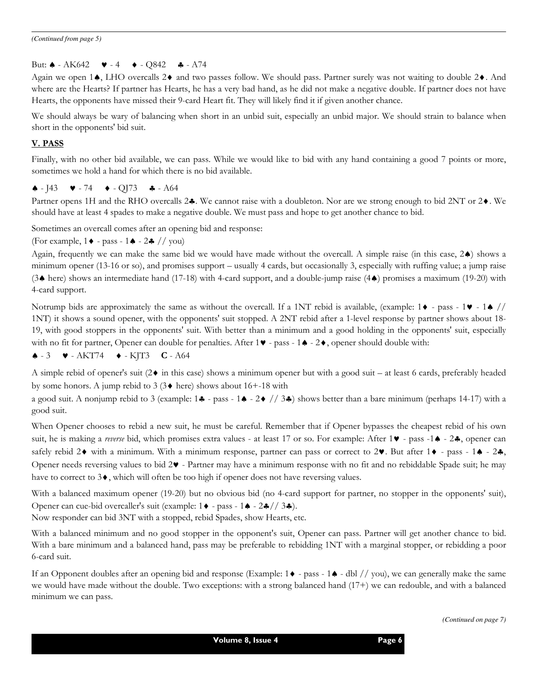#### But:  $\triangle$  - AK642  $\triangleright$  - 4  $\triangleright$  - Q842  $\triangle$  - A74

Again we open 1♠, LHO overcalls 2♦ and two passes follow. We should pass. Partner surely was not waiting to double 2♦. And where are the Hearts? If partner has Hearts, he has a very bad hand, as he did not make a negative double. If partner does not have Hearts, the opponents have missed their 9-card Heart fit. They will likely find it if given another chance.

We should always be wary of balancing when short in an unbid suit, especially an unbid major. We should strain to balance when short in the opponents' bid suit.

#### V. PASS

Finally, with no other bid available, we can pass. While we would like to bid with any hand containing a good 7 points or more, sometimes we hold a hand for which there is no bid available.

#### $\triangle$  - J43  $\triangleright$  - 74  $\triangleright$  - QJ73  $\triangle$  - A64

Partner opens 1H and the RHO overcalls 2♣. We cannot raise with a doubleton. Nor are we strong enough to bid 2NT or 2♦. We should have at least 4 spades to make a negative double. We must pass and hope to get another chance to bid.

Sometimes an overcall comes after an opening bid and response:

(For example, 1♦ - pass - 1♠ - 2♣ // you)

Again, frequently we can make the same bid we would have made without the overcall. A simple raise (in this case, 2♠) shows a minimum opener (13-16 or so), and promises support – usually 4 cards, but occasionally 3, especially with ruffing value; a jump raise (3♠ here) shows an intermediate hand (17-18) with 4-card support, and a double-jump raise (4♠) promises a maximum (19-20) with 4-card support.

Notrump bids are approximately the same as without the overcall. If a 1NT rebid is available, (example:  $1 \bullet - \text{pass - 1} \bullet$  // 1NT) it shows a sound opener, with the opponents' suit stopped. A 2NT rebid after a 1-level response by partner shows about 18- 19, with good stoppers in the opponents' suit. With better than a minimum and a good holding in the opponents' suit, especially with no fit for partner, Opener can double for penalties. After  $1 \blacktriangleright - \text{pass} - 1 \blacklozenge - 2 \blacktriangleright$ , opener should double with:

 $\triangle$  - 3  $\triangleright$  - AKT74  $\rightarrow$  - KJT3 C - A64

A simple rebid of opener's suit (2♦ in this case) shows a minimum opener but with a good suit – at least 6 cards, preferably headed by some honors. A jump rebid to 3 (3♦ here) shows about 16+-18 with

a good suit. A nonjump rebid to 3 (example: 1♣ - pass - 1♠ - 2♦ // 3♣) shows better than a bare minimum (perhaps 14-17) with a good suit.

When Opener chooses to rebid a new suit, he must be careful. Remember that if Opener bypasses the cheapest rebid of his own suit, he is making a *reverse* bid, which promises extra values - at least 17 or so. For example: After 1♥ - pass -1♦ - 2♣, opener can safely rebid 2 $\bullet$  with a minimum. With a minimum response, partner can pass or correct to 2 $\bullet$ . But after 1 $\bullet$  - pass - 1 $\bullet$  - 2 $\bullet$ , Opener needs reversing values to bid 2♥ - Partner may have a minimum response with no fit and no rebiddable Spade suit; he may have to correct to 3♦, which will often be too high if opener does not have reversing values.

With a balanced maximum opener (19-20) but no obvious bid (no 4-card support for partner, no stopper in the opponents' suit), Opener can cue-bid overcaller's suit (example: 1♦ - pass - 1♠ - 2♣// 3♣).

Now responder can bid 3NT with a stopped, rebid Spades, show Hearts, etc.

With a balanced minimum and no good stopper in the opponent's suit, Opener can pass. Partner will get another chance to bid. With a bare minimum and a balanced hand, pass may be preferable to rebidding 1NT with a marginal stopper, or rebidding a poor 6-card suit.

If an Opponent doubles after an opening bid and response (Example: 1♦ - pass - 1♠ - dbl // you), we can generally make the same we would have made without the double. Two exceptions: with a strong balanced hand (17+) we can redouble, and with a balanced minimum we can pass.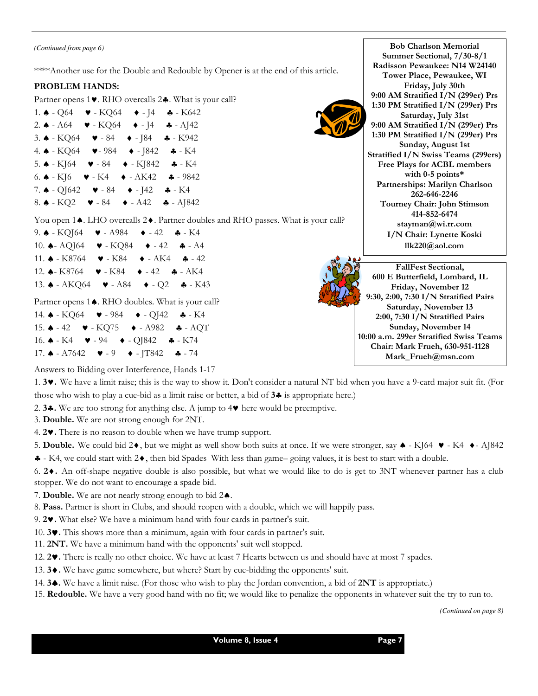*(Continued from page 6)*

\*\*\*\*Another use for the Double and Redouble by Opener is at the end of this article.

#### PROBLEM HANDS:

Partner opens 1♥. RHO overcalls 2♣. What is your call?

1.  $\triangle$  - Q64  $\triangleright$  - KQ64  $\triangle$  - J4  $\triangle$  - K642 2.  $\triangle$  - A64  $\triangleright$  - KQ64  $\triangleright$  - J4  $\clubsuit$  - AJ42 3. ♠ - KQ64 ♥ - 84 ♦ - J84 ♣ - K942 4. ♠ - KQ64 ♥- 984 ♦ - J842 ♣ - K4 5.  $\triangle$  - KJ64  $\triangleright$  - 84  $\triangleright$  - KJ842  $\triangle$  - K4 6.  $\triangle$  - KJ6  $\triangleright$  - K4  $\triangleright$  - AK42  $\clubsuit$  - 9842 7. ♠ - QJ642 ♥ - 84 ♦ - J42 ♣ - K4 8. ♠ - KQ2 ♥ - 84 ♦ - A42 ♣ - AJ842

You open 1♠. LHO overcalls 2♦. Partner doubles and RHO passes. What is your call?

9. ♠ - KQJ64 ♥ - A984 ♦ - 42 ♣ - K4 10. ♠- AQJ64 ♥ - KQ84 ♦ - 42 ♣ - A4 11. ♠ - K8764 ♥ - K84 ♦ - AK4 ♣ - 42 12. ♠- K8764 ♥ - K84 ♦ - 42 ♣ - AK4 13. ♠ - AKQ64 ♥ - A84 ♦ - Q2 ♣ - K43

Partner opens 1♦. RHO doubles. What is your call?

- 14. ♠ KQ64 ♥ 984 ♦ QJ42 ♣ K4
- 15. ♠ 42 ♥ KQ75 ♦ A982 ♣ AQT 16. ♠ - K4 ♥ - 94 ♦ - QJ842 ♣ - K74 17.  $\triangle$  - A7642  $\blacktriangleright$  - 9  $\blacktriangleright$  - JT842  $\clubsuit$  - 74



Radisson Pewaukee: N14 W24140 Tower Place, Pewaukee, WI Friday, July 30th 9:00 AM Stratified I/N (299er) Prs 1:30 PM Stratified I/N (299er) Prs Saturday, July 31st 9:00 AM Stratified I/N (299er) Prs 1:30 PM Stratified I/N (299er) Prs Sunday, August 1st Stratified I/N Swiss Teams (299ers) Free Plays for ACBL members with 0-5 points\* Partnerships: Marilyn Charlson 262-646-2246 Tourney Chair: John Stimson 414-852-6474 stayman@wi.rr.com I/N Chair: Lynette Koski llk220@aol.com

Bob Charlson Memorial Summer Sectional, 7/30-8/1

FallFest Sectional, 600 E Butterfield, Lombard, IL Friday, November 12 9:30, 2:00, 7:30 I/N Stratified Pairs Saturday, November 13 2:00, 7:30 I/N Stratified Pairs Sunday, November 14 10:00 a.m. 299er Stratified Swiss Teams Chair: Mark Frueh, 630-951-1128 Mark\_Frueh@msn.com

Answers to Bidding over Interference, Hands 1-17

1. 3♥. We have a limit raise; this is the way to show it. Don't consider a natural NT bid when you have a 9-card major suit fit. (For those who wish to play a cue-bid as a limit raise or better, a bid of 3♣ is appropriate here.)

2. 3 $\clubsuit$ . We are too strong for anything else. A jump to 4 $\blacktriangledown$  here would be preemptive.

3. Double. We are not strong enough for 2NT.

4. 2♥. There is no reason to double when we have trump support.

5. Double. We could bid 2♦, but we might as well show both suits at once. If we were stronger, say ♠ - KJ64 ♥ - K4 ♦- AJ842

♣ - K4, we could start with 2♦, then bid Spades With less than game– going values, it is best to start with a double.

6. 2♦. An off-shape negative double is also possible, but what we would like to do is get to 3NT whenever partner has a club stopper. We do not want to encourage a spade bid.

7. Double. We are not nearly strong enough to bid 2♠.

8. Pass. Partner is short in Clubs, and should reopen with a double, which we will happily pass.

9. 2♥. What else? We have a minimum hand with four cards in partner's suit.

10. 3♥. This shows more than a minimum, again with four cards in partner's suit.

11. 2NT. We have a minimum hand with the opponents' suit well stopped.

12. 2♥. There is really no other choice. We have at least 7 Hearts between us and should have at most 7 spades.

13. 3♦. We have game somewhere, but where? Start by cue-bidding the opponents' suit.

14. 3♠. We have a limit raise. (For those who wish to play the Jordan convention, a bid of 2NT is appropriate.)

15. Redouble. We have a very good hand with no fit; we would like to penalize the opponents in whatever suit the try to run to.

*(Continued on page 8)* 

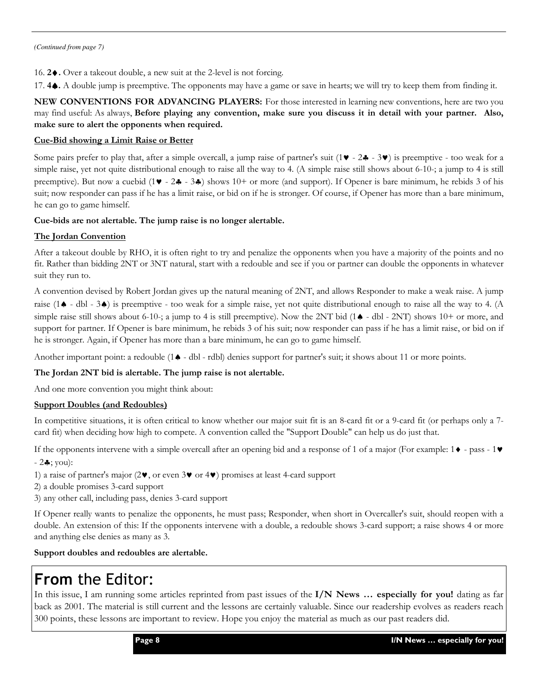16. 2♦. Over a takeout double, a new suit at the 2-level is not forcing.

17. 4♠. A double jump is preemptive. The opponents may have a game or save in hearts; we will try to keep them from finding it.

NEW CONVENTIONS FOR ADVANCING PLAYERS: For those interested in learning new conventions, here are two you may find useful: As always, Before playing any convention, make sure you discuss it in detail with your partner. Also, make sure to alert the opponents when required.

### Cue-Bid showing a Limit Raise or Better

Some pairs prefer to play that, after a simple overcall, a jump raise of partner's suit  $(1 \blacktriangledown - 2 \blacktriangle - 3 \blacktriangledown)$  is preemptive - too weak for a simple raise, yet not quite distributional enough to raise all the way to 4. (A simple raise still shows about 6-10-; a jump to 4 is still preemptive). But now a cuebid  $(1 \cdot 2 \cdot 3 \cdot 3 \cdot 5)$  shows 10+ or more (and support). If Opener is bare minimum, he rebids 3 of his suit; now responder can pass if he has a limit raise, or bid on if he is stronger. Of course, if Opener has more than a bare minimum, he can go to game himself.

#### Cue-bids are not alertable. The jump raise is no longer alertable.

## The Jordan Convention

After a takeout double by RHO, it is often right to try and penalize the opponents when you have a majority of the points and no fit. Rather than bidding 2NT or 3NT natural, start with a redouble and see if you or partner can double the opponents in whatever suit they run to.

A convention devised by Robert Jordan gives up the natural meaning of 2NT, and allows Responder to make a weak raise. A jump raise (1♠ - dbl - 3♠) is preemptive - too weak for a simple raise, yet not quite distributional enough to raise all the way to 4. (A simple raise still shows about 6-10-; a jump to 4 is still preemptive). Now the 2NT bid (1♦ - dbl - 2NT) shows 10+ or more, and support for partner. If Opener is bare minimum, he rebids 3 of his suit; now responder can pass if he has a limit raise, or bid on if he is stronger. Again, if Opener has more than a bare minimum, he can go to game himself.

Another important point: a redouble (1♠ - dbl - rdbl) denies support for partner's suit; it shows about 11 or more points.

## The Jordan 2NT bid is alertable. The jump raise is not alertable.

And one more convention you might think about:

## Support Doubles (and Redoubles)

In competitive situations, it is often critical to know whether our major suit fit is an 8-card fit or a 9-card fit (or perhaps only a 7card fit) when deciding how high to compete. A convention called the "Support Double" can help us do just that.

If the opponents intervene with a simple overcall after an opening bid and a response of 1 of a major (For example:  $1 \bullet -$  pass -  $1 \bullet$  $-2$  $\cdot$ ; you):

- 1) a raise of partner's major (2♥, or even 3♥ or 4♥) promises at least 4-card support
- 2) a double promises 3-card support
- 3) any other call, including pass, denies 3-card support

If Opener really wants to penalize the opponents, he must pass; Responder, when short in Overcaller's suit, should reopen with a double. An extension of this: If the opponents intervene with a double, a redouble shows 3-card support; a raise shows 4 or more and anything else denies as many as 3.

## Support doubles and redoubles are alertable.

# From the Editor:

In this issue, I am running some articles reprinted from past issues of the I/N News ... especially for you! dating as far back as 2001. The material is still current and the lessons are certainly valuable. Since our readership evolves as readers reach 300 points, these lessons are important to review. Hope you enjoy the material as much as our past readers did.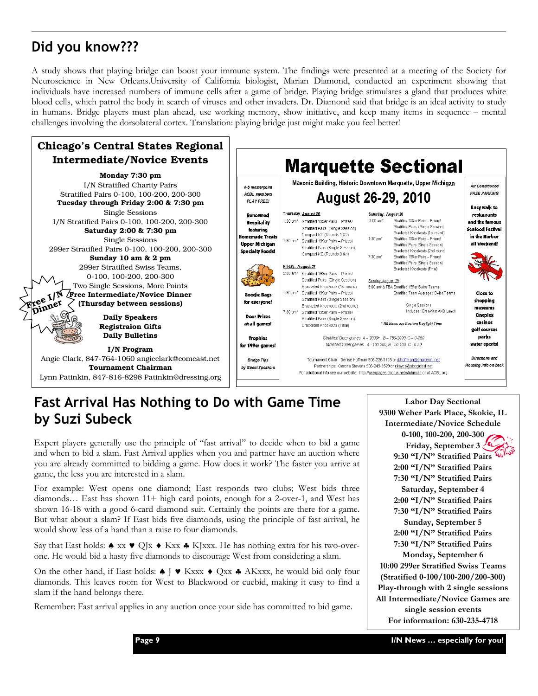# Did you know???

A study shows that playing bridge can boost your immune system. The findings were presented at a meeting of the Society for Neuroscience in New Orleans.University of California biologist, Marian Diamond, conducted an experiment showing that individuals have increased numbers of immune cells after a game of bridge. Playing bridge stimulates a gland that produces white blood cells, which patrol the body in search of viruses and other invaders. Dr. Diamond said that bridge is an ideal activity to study in humans. Bridge players must plan ahead, use working memory, show initiative, and keep many items in sequence – mental challenges involving the dorsolateral cortex. Translation: playing bridge just might make you feel better!



# Fast Arrival Has Nothing to Do with Game Time by Suzi Subeck

Expert players generally use the principle of "fast arrival" to decide when to bid a game and when to bid a slam. Fast Arrival applies when you and partner have an auction where you are already committed to bidding a game. How does it work? The faster you arrive at game, the less you are interested in a slam.

For example: West opens one diamond; East responds two clubs; West bids three diamonds… East has shown 11+ high card points, enough for a 2-over-1, and West has shown 16-18 with a good 6-card diamond suit. Certainly the points are there for a game. But what about a slam? If East bids five diamonds, using the principle of fast arrival, he would show less of a hand than a raise to four diamonds.

Say that East holds: ♦ xx ♥ QJx ♦ Kxx ♣ KJxxx. He has nothing extra for his two-overone. He would bid a hasty five diamonds to discourage West from considering a slam.

On the other hand, if East holds:  $\triangleq$  J  $\triangledown$  Kxxx  $\triangleq$  Qxx  $\triangleq$  AKxxx, he would bid only four diamonds. This leaves room for West to Blackwood or cuebid, making it easy to find a slam if the hand belongs there.

Remember: Fast arrival applies in any auction once your side has committed to bid game.

Labor Day Sectional 9300 Weber Park Place, Skokie, IL Intermediate/Novice Schedule 0-100, 100-200, 200-300 Friday, September 3 9:30 "I/N" Stratified Pairs 2:00 "I/N" Stratified Pairs 7:30 "I/N" Stratified Pairs Saturday, September 4 2:00 "I/N" Stratified Pairs 7:30 "I/N" Stratified Pairs Sunday, September 5 2:00 "I/N" Stratified Pairs 7:30 "I/N" Stratified Pairs Monday, September 6 10:00 299er Stratified Swiss Teams (Stratified 0-100/100-200/200-300) Play-through with 2 single sessions All Intermediate/Novice Games are single session events For information: 630-235-4718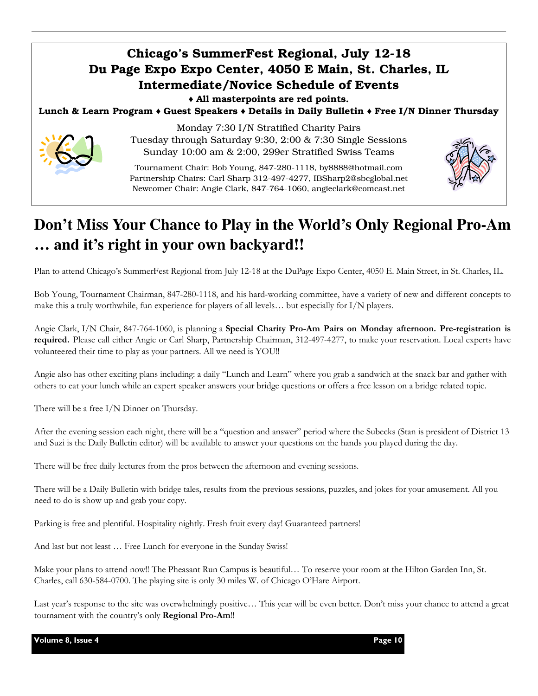## Chicago's SummerFest Regional, July 12-18 Du Page Expo Expo Center, 4050 E Main, St. Charles, IL Intermediate/Novice Schedule of Events ♦ All masterpoints are red points. Lunch & Learn Program ♦ Guest Speakers ♦ Details in Daily Bulletin ♦ Free I/N Dinner Thursday Monday 7:30 I/N Stratified Charity Pairs Tuesday through Saturday 9:30, 2:00 & 7:30 Single Sessions Sunday 10:00 am & 2:00, 299er Stratified Swiss Teams Tournament Chair: Bob Young, 847-280-1118, by8888@hotmail.com Partnership Chairs: Carl Sharp 312-497-4277, IBSharp2@sbcglobal.net

# **Don't Miss Your Chance to Play in the World's Only Regional Pro-Am … and it's right in your own backyard!!**

Newcomer Chair: Angie Clark, 847-764-1060, angieclark@comcast.net

Plan to attend Chicago's SummerFest Regional from July 12-18 at the DuPage Expo Center, 4050 E. Main Street, in St. Charles, IL.

Bob Young, Tournament Chairman, 847-280-1118, and his hard-working committee, have a variety of new and different concepts to make this a truly worthwhile, fun experience for players of all levels... but especially for  $I/N$  players.

Angie Clark, I/N Chair, 847-764-1060, is planning a Special Charity Pro-Am Pairs on Monday afternoon. Pre-registration is required. Please call either Angie or Carl Sharp, Partnership Chairman, 312-497-4277, to make your reservation. Local experts have volunteered their time to play as your partners. All we need is YOU!!

Angie also has other exciting plans including: a daily "Lunch and Learn" where you grab a sandwich at the snack bar and gather with others to eat your lunch while an expert speaker answers your bridge questions or offers a free lesson on a bridge related topic.

There will be a free I/N Dinner on Thursday.

After the evening session each night, there will be a "question and answer" period where the Subecks (Stan is president of District 13 and Suzi is the Daily Bulletin editor) will be available to answer your questions on the hands you played during the day.

There will be free daily lectures from the pros between the afternoon and evening sessions.

There will be a Daily Bulletin with bridge tales, results from the previous sessions, puzzles, and jokes for your amusement. All you need to do is show up and grab your copy.

Parking is free and plentiful. Hospitality nightly. Fresh fruit every day! Guaranteed partners!

And last but not least … Free Lunch for everyone in the Sunday Swiss!

Make your plans to attend now!! The Pheasant Run Campus is beautiful… To reserve your room at the Hilton Garden Inn, St. Charles, call 630-584-0700. The playing site is only 30 miles W. of Chicago O'Hare Airport.

Last year's response to the site was overwhelmingly positive… This year will be even better. Don't miss your chance to attend a great tournament with the country's only Regional Pro-Am!!

Volume 8, Issue 4 Page 10 and the United States of the Page 10 and the Page 10 and the Page 10 and the Page 10

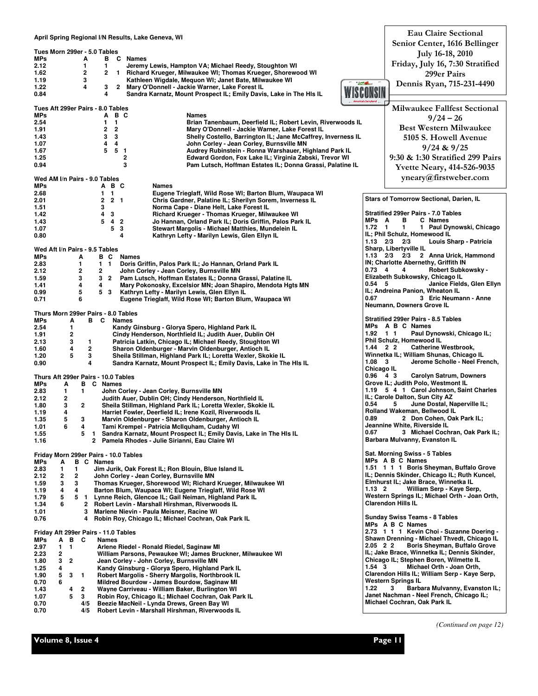| April Spring Regional I/N Results, Lake Geneva, WI<br>Tues Morn 299er - 5.0 Tables<br><b>B</b> C Names<br>MPs<br>A<br>1<br>1<br>2.12<br>Jeremy Lewis, Hampton VA; Michael Reedy, Stoughton WI<br>$\mathbf{2}$<br>2<br>1 Richard Krueger, Milwaukee WI; Thomas Krueger, Shorewood WI<br>1.62<br>Kathleen Wigdale, Mequon WI; Janet Bate, Milwaukee WI<br>1.19<br>3<br><b>CALL</b><br>3<br>1.22<br>4<br>$\overline{2}$<br>Mary O'Donnell - Jackie Warner, Lake Forest IL<br>4<br>0.84<br>Sandra Karnatz, Mount Prospect IL; Emily Davis, Lake in The HIs IL<br>America's Dairyland<br>Tues Aft 299er Pairs - 8.0 Tables<br>B C<br>MPs<br><b>Names</b><br>A<br>2.54<br>1.<br>$\mathbf{1}$<br>Brian Tanenbaum, Deerfield IL; Robert Levin, Riverwoods IL<br>$\mathbf{2}$<br>2<br>Mary O'Donnell - Jackie Warner, Lake Forest IL<br>1.91<br>3<br>3<br>1.43<br>Shelly Costello, Barrington IL; Jane McCaffrey, Inverness IL<br>1.07<br>4<br>4<br>John Corley - Jean Corley, Burnsville MN<br>5<br>5<br>Audrey Rubinstein - Ronna Warshauer, Highland Park IL<br>1.67<br>-1<br>2<br>1.25<br>Edward Gordon, Fox Lake IL; Virginia Zabski, Trevor WI<br>3<br>0.94<br>Pam Lutsch, Hoffman Estates IL; Donna Grassi, Palatine IL<br>Wed AM I/n Pairs - 9.0 Tables<br><b>MPs</b><br>А В С<br>Names<br>2.68<br>$\mathbf{1}$<br>$\mathbf{1}$<br>Eugene Trieglaff, Wild Rose WI; Barton Blum, Waupaca WI | <b>Eau Claire Sectional</b><br>Senior Center, 1616 Bellinger<br>July 16-18, 2010<br>Friday, July 16, 7:30 Stratified<br>299er Pairs<br>Dennis Ryan, 715-231-4490<br>Milwaukee Fallfest Sectional<br>$9/24 - 26$<br><b>Best Western Milwaukee</b><br>5105 S. Howell Avenue<br>$9/24$ & $9/25$<br>9:30 & 1:30 Stratified 299 Pairs<br><b>Yvette Neary, 414-526-9035</b><br>yneary@firstweber.com                                                                                                                                                                                                                                                                 |
|-------------------------------------------------------------------------------------------------------------------------------------------------------------------------------------------------------------------------------------------------------------------------------------------------------------------------------------------------------------------------------------------------------------------------------------------------------------------------------------------------------------------------------------------------------------------------------------------------------------------------------------------------------------------------------------------------------------------------------------------------------------------------------------------------------------------------------------------------------------------------------------------------------------------------------------------------------------------------------------------------------------------------------------------------------------------------------------------------------------------------------------------------------------------------------------------------------------------------------------------------------------------------------------------------------------------------------------------------------------------------------------------|----------------------------------------------------------------------------------------------------------------------------------------------------------------------------------------------------------------------------------------------------------------------------------------------------------------------------------------------------------------------------------------------------------------------------------------------------------------------------------------------------------------------------------------------------------------------------------------------------------------------------------------------------------------|
| 2<br>2 <sub>1</sub><br>Chris Gardner, Palatine IL; Sherilyn Sorem, Inverness IL<br>2.01<br>3<br>Norma Cape - Diane Helt, Lake Forest IL<br>1.51<br>Richard Krueger - Thomas Krueger, Milwaukee WI<br>1.42<br>4<br>3<br>5<br>$\overline{2}$<br>Jo Hannan, Orland Park IL; Doris Griffin, Palos Park IL<br>1.43<br>4<br>5<br>3<br>1.07<br>Stewart Margolis - Michael Matthies, Mundelein IL<br>4<br>Kathryn Lefty - Marilyn Lewis, Glen Ellyn IL<br>0.80<br>Wed Aft I/n Pairs - 9.5 Tables<br>MPs<br>A<br>вс<br>Names<br>2.83<br>1<br>$1\quad1$<br>Doris Griffin, Palos Park IL; Jo Hannan, Orland Park IL<br>2<br>2<br>2.12<br>John Corley - Jean Corley, Burnsville MN<br>3<br>1.59<br>3 2 Pam Lutsch, Hoffman Estates IL; Donna Grassi, Palatine IL<br>4<br>Mary Pokonosky, Excelsior MN; Joan Shapiro, Mendota Hgts MN<br>1.41<br>4<br>5<br>0.99<br>53<br>Kathryn Lefty - Marilyn Lewis, Glen Ellyn IL<br>0.67<br>6<br>Eugene Trieglaff, Wild Rose WI; Barton Blum, Waupaca WI<br>0.71                                                                                                                                                                                                                                                                                                                                                                                                  | Stars of Tomorrow Sectional, Darien, IL<br><b>Stratified 299er Pairs - 7.0 Tables</b><br>в<br>MPs A<br>C Names<br>$1.72 \quad 1$<br>1<br>1 Paul Dynowski, Chicago<br>IL; Phil Schulz, Homewood IL<br>$1.13$ $2/3$ $2/3$<br>Louis Sharp - Patricia<br>Sharp, Libertyville IL<br>$1.13$ $2/3$ $2/3$<br>2 Anna Urick, Hammond<br>IN; Charlotte Abernethy, Griffith IN<br>$0.73 \quad 4$<br>4<br><b>Robert Subkowsky -</b><br>Elizabeth Subkowsky, Chicago IL<br>$0.54$ 5<br>Janice Fields, Glen Ellyn<br>IL; Andreina Panion, Wheaton IL<br>3 Eric Neumann - Anne<br>Neumann, Downers Grove IL                                                                    |
| Thurs Morn 299er Pairs - 8.0 Tables<br>- C<br>MPs<br>A<br>в<br>Names<br>2.54<br>Kandy Ginsburg - Glorya Spero, Highland Park IL<br>1<br>Cindy Henderson, Northfield IL; Judith Auer, Dublin OH<br>1.91<br>2<br>3<br>2.13<br>1<br>Patricia Latkin, Chicago IL; Michael Reedy, Stoughton WI<br>2<br>1.60<br>4<br>Sharon Oldenburger - Marvin Oldenburger, Antioch IL<br>3<br>1.20<br>5<br>Sheila Stillman, Highland Park IL; Loretta Wexler, Skokie IL<br>4<br>0.90<br>Sandra Karnatz, Mount Prospect IL; Emily Davis, Lake in The HIs IL<br>Thurs Aft 299er Pairs - 10.0 Tables<br><b>B</b> C Names<br>MPs<br>A<br>2.83<br>John Corley - Jean Corley, Burnsville MN<br>1<br>1<br>2.12<br>2<br>Judith Auer, Dublin OH; Cindy Henderson, Northfield IL<br>0.54<br>$\mathbf 2$<br>1.80<br>3<br>Sheila Stillman, Highland Park IL; Loretta Wexler, Skokie IL<br>Harriet Fowler, Deerfield IL; Irene Kozil, Riverwoods IL<br>1.19<br>4<br>0.89<br>1.35<br>3<br>Marvin Oldenburger - Sharon Oldenburger, Antioch IL<br>5<br>1.01<br>6<br>4<br>Tami Krempel - Patricia McIlquham, Cudahy WI<br>0.67<br>Sandra Karnatz, Mount Prospect IL; Emily Davis, Lake in The HIs IL<br>1.55<br>5<br>$\mathbf{1}$<br>1.16<br>2<br>Pamela Rhodes - Julie Sirianni, Eau Claire WI                                                                                                                              | <b>Stratified 299er Pairs - 8.5 Tables</b><br>MPs A B C Names<br>Paul Dynowski, Chicago IL;<br>$1.92$ 1 1<br>Phil Schulz, Homewood IL<br>1.44 2 2<br><b>Catherine Westbrook,</b><br>Winnetka IL; William Shunas, Chicago IL<br>Jerome Scholle - Neel French,<br>$1.08 \t3$<br>Chicago IL<br>0.96 4 3<br><b>Carolyn Satrum, Downers</b><br>Grove IL; Judith Polo, Westmont IL<br>1.19 5 4 1 Carol Johnson, Saint Charles<br>IL; Carole Dalton, Sun City AZ<br>5<br>June Dostal, Naperville IL;<br>Rolland Wakeman, Bellwood IL<br>2 Don Cohen, Oak Park IL;<br>Jeannine White, Riverside IL<br>3 Michael Cochran, Oak Park IL;<br>Barbara Mulvanny, Evanston IL |
| Friday Morn 299er Pairs - 10.0 Tables<br>MPs<br>A<br><b>B</b> C Names<br>Jim Jurik, Oak Forest IL; Ron Blouin, Blue Island IL<br>2.83<br>1<br>1<br>2<br>$\overline{2}$<br>John Corley - Jean Corley, Burnsville MN<br>2.12<br>Thomas Krueger, Shorewood WI; Richard Krueger, Milwaukee WI<br>1.59<br>3<br>3<br>Barton Blum, Waupaca WI; Eugene Trieglaff, Wild Rose WI<br>1.19<br>4<br>4<br>1.79<br>5<br>5 1<br>Lynne Reich, Glencoe IL; Gail Neiman, Highland Park IL<br>1.34<br>6<br>$\mathbf{2}$<br>Robert Levin - Marshall Hirshman, Riverwoods IL<br>1.01<br>Marlene Nievin - Paula Meisner, Racine WI<br>3<br>0.76<br>Robin Roy, Chicago IL; Michael Cochran, Oak Park IL<br>4                                                                                                                                                                                                                                                                                                                                                                                                                                                                                                                                                                                                                                                                                                      | Sat. Morning Swiss - 5 Tables<br>MPs A B C Names<br>1.51 1 1 1 Boris Sheyman, Buffalo Grove<br>IL; Dennis Skinder, Chicago IL; Ruth Kuncel,<br>Elmhurst IL; Jake Brace, Winnetka IL<br>William Serp - Kaye Serp,<br>$1.13 \quad 2$<br>Western Springs IL; Michael Orth - Joan Orth,<br><b>Clarendon Hills IL</b><br><b>Sunday Swiss Teams - 8 Tables</b>                                                                                                                                                                                                                                                                                                       |
| Friday Aft 299er Pairs - 11.0 Tables<br>MPs<br>А<br>в<br>- C<br>Names<br>2.97<br>1<br>$\mathbf{1}$<br>Arlene Riedel - Ronald Riedel, Saginaw MI<br>2<br>2.23<br>William Parsons, Pewaukee WI; James Bruckner, Milwaukee WI<br>2<br>1.80<br>3<br>Jean Corley - John Corley, Burnsville MN<br>1.25<br>Kandy Ginsburg - Glorya Spero, Highland Park IL<br>4<br>Robert Margolis - Sherry Margolis, Northbrook IL<br>1.90<br>5<br>3<br>$\mathbf{1}$<br>0.70<br>6<br>Mildred Bourdow - James Bourdow, Saginaw MI<br>1.22<br>Wayne Carriveau - William Baker, Burlington WI<br>1.43<br>2<br>4<br>1.07<br>5<br>3<br>Robin Roy, Chicago IL; Michael Cochran, Oak Park IL<br>Beezie MacNeil - Lynda Drews, Green Bay WI<br>0.70<br>4/5<br>Robert Levin - Marshall Hirshman, Riverwoods IL<br>0.70<br>4/5                                                                                                                                                                                                                                                                                                                                                                                                                                                                                                                                                                                            | MPs A B C Names<br>2.73 1 1 1 Kevin Choi - Suzanne Doering -<br>Shawn Drenning - Michael Thvedt, Chicago IL<br>2.05 2 2<br><b>Boris Sheyman, Buffalo Grove</b><br>IL; Jake Brace, Winnetka IL; Dennis Skinder,<br>Chicago IL; Stephen Boren, Wilmette IL<br>$1.54 \quad 3$<br>Michael Orth - Joan Orth,<br>Clarendon Hills IL; William Serp - Kaye Serp,<br><b>Western Springs IL</b><br>3<br>Barbara Mulvanny, Evanston IL;<br>Janet Nachman - Neel French, Chicago IL;<br>Michael Cochran, Oak Park IL                                                                                                                                                       |